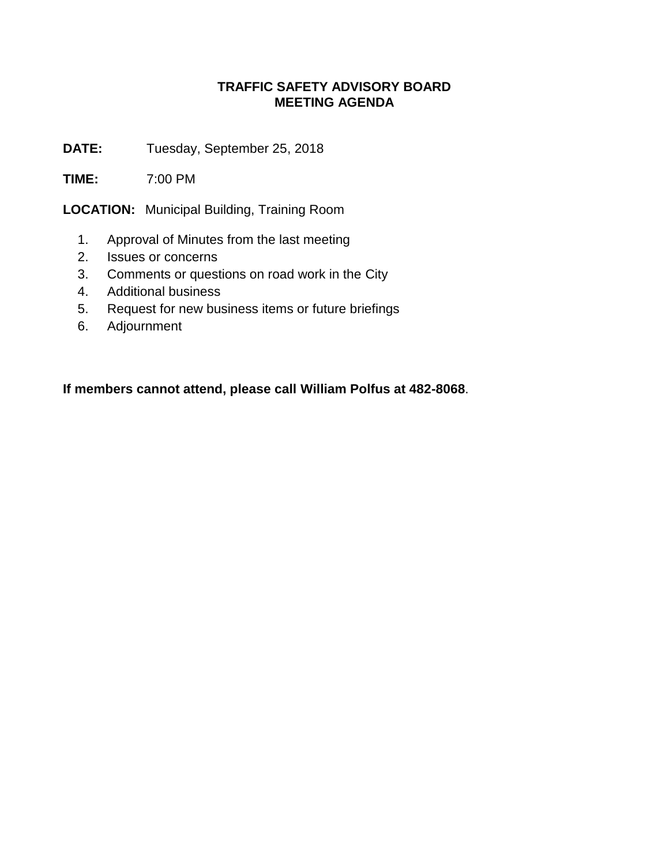## **TRAFFIC SAFETY ADVISORY BOARD MEETING AGENDA**

**DATE:** Tuesday, September 25, 2018

**TIME:** 7:00 PM

**LOCATION:** Municipal Building, Training Room

- 1. Approval of Minutes from the last meeting
- 2. Issues or concerns
- 3. Comments or questions on road work in the City
- 4. Additional business
- 5. Request for new business items or future briefings
- 6. Adjournment

**If members cannot attend, please call William Polfus at 482-8068**.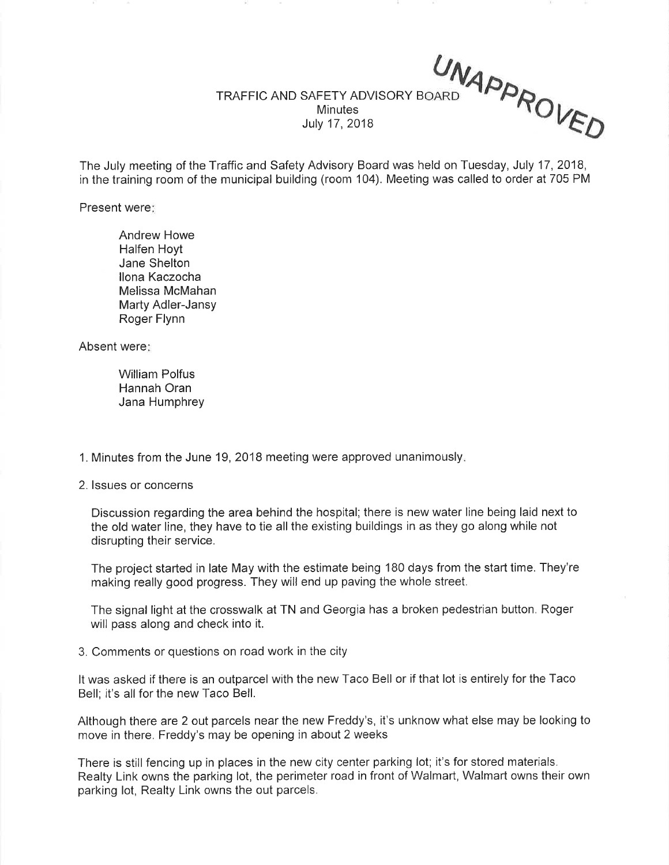$U_{N_A}$ TRAFFIC AND SAFETY ADVISORY BOARD **Minutes** July 17 ,2018 **ARA** VED

The July meeting of the Traffic and Safety Advisory Board was held on Tuesday, July 17,2018, in the training room of the municipal building (room 104). Meeting was called to order at 705 PM

Present were

Andrew Howe Halfen Hoyt Jane Shelton llona Kaczocha Melissa McMahan Marty Adler-Jansy Roger Flynn

Absent were

William Polfus Hannah Oran Jana Humphrey

1. Minutes from the June 19,2018 meeting were approved unanimously

2. lssues or concerns

Discussion regarding the area behind the hospital; there is new water line being laid next to the old water line, they have to tie all the existing buildings in as they go along while not disrupting their service.

The project started in late May with the estimate being 180 days from the start time. They're making really good progress. They will end up paving the whole street.

The signal light at the crosswalk at TN and Georgia has a broken pedestrian button. Roger will pass along and check into it.

3. Comments or questions on road work in the city

It was asked if there is an outparcel with the new Taco Bell or if that lot is entirely for the Taco Bell; it's all for the new Taco Bell.

Although there are 2 out parcels near the new Freddy's, it's unknow what else may be looking to move in there. Freddy's may be opening in about 2 weeks

There is still fencing up in places in the new city center parking lot; it's for stored materials. Realty Link owns the parking lot, the perimeter road in front of Walmart, Walmart owns their own parking lot, Realty Link owns the out parcels.